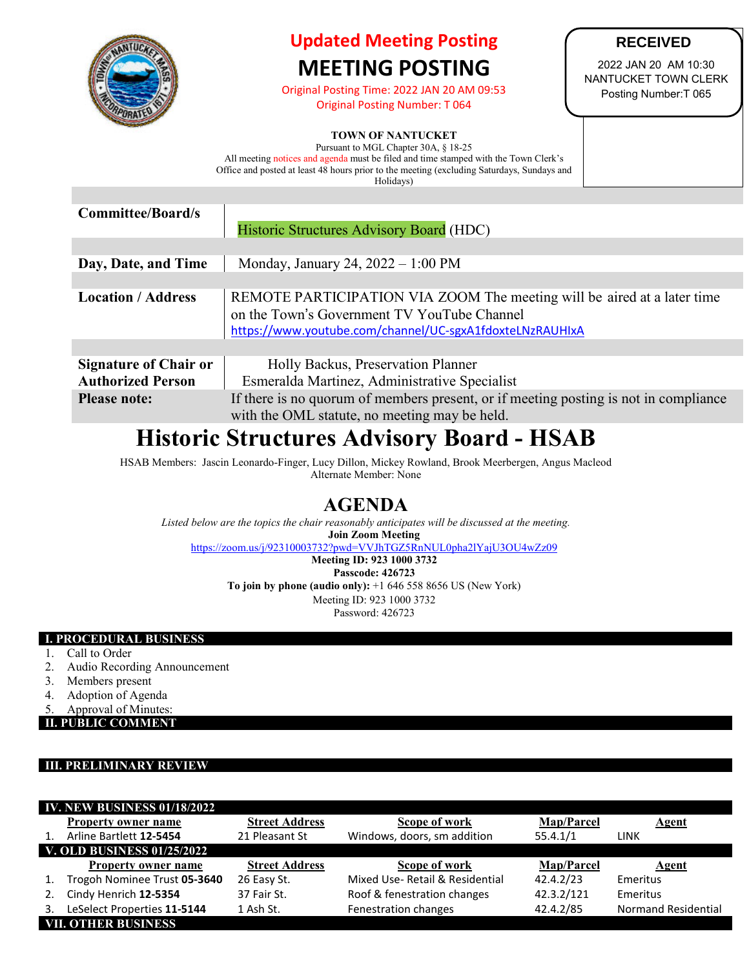

# **Updated Meeting Posting MEETING POSTING**

Original Posting Time: 2022 JAN 20 AM 09:53 Original Posting Number: T 064

## **TOWN OF NANTUCKET**

**RECEIVED**

2022 JAN 20 AM 10:30 NANTUCKET TOWN CLERK Posting Number:T 065

Pursuant to MGL Chapter 30A, § 18-25 All meeting notices and agenda must be filed and time stamped with the Town Clerk's Office and posted at least 48 hours prior to the meeting (excluding Saturdays, Sundays and Holidays)

| Historic Structures Advisory Board (HDC)                                                                                                                                           |  |  |
|------------------------------------------------------------------------------------------------------------------------------------------------------------------------------------|--|--|
|                                                                                                                                                                                    |  |  |
| Monday, January 24, $2022 - 1:00 \text{ PM}$                                                                                                                                       |  |  |
|                                                                                                                                                                                    |  |  |
| REMOTE PARTICIPATION VIA ZOOM The meeting will be aired at a later time<br>on the Town's Government TV YouTube Channel<br>https://www.youtube.com/channel/UC-sgxA1fdoxteLNzRAUHIxA |  |  |
|                                                                                                                                                                                    |  |  |
| Holly Backus, Preservation Planner<br>Esmeralda Martinez, Administrative Specialist                                                                                                |  |  |
| If there is no quorum of members present, or if meeting posting is not in compliance<br>with the OML statute, no meeting may be held.                                              |  |  |
|                                                                                                                                                                                    |  |  |

# **Historic Structures Advisory Board - HSAB**

HSAB Members: Jascin Leonardo-Finger, Lucy Dillon, Mickey Rowland, Brook Meerbergen, Angus Macleod Alternate Member: None

## **AGENDA**

*Listed below are the topics the chair reasonably anticipates will be discussed at the meeting.* **Join Zoom Meeting** <https://zoom.us/j/92310003732?pwd=VVJhTGZ5RnNUL0pha2lYajU3OU4wZz09>

**Meeting ID: 923 1000 3732 Passcode: 426723 To join by phone (audio only):** +1 646 558 8656 US (New York) Meeting ID: 923 1000 3732 Password: 426723

### **I. PROCEDURAL BUSINESS**

- 1. Call to Order<br>2. Audio Record
- Audio Recording Announcement
- 3. Members present
- 4. Adoption of Agenda
- 5. Approval of Minutes:

**II. PUBLIC COMMENT**

#### **III. PRELIMINARY REVIEW**

| <b>IV. NEW BUSINESS 01/18/2022</b> |                              |                       |                                |                   |                            |  |
|------------------------------------|------------------------------|-----------------------|--------------------------------|-------------------|----------------------------|--|
|                                    | <b>Property owner name</b>   | <b>Street Address</b> | Scope of work                  | <b>Map/Parcel</b> | <b>Agent</b>               |  |
| $1_{\cdot}$                        | Arline Bartlett 12-5454      | 21 Pleasant St        | Windows, doors, sm addition    | 55.4.1/1          | <b>LINK</b>                |  |
| <b>V. OLD BUSINESS 01/25/2022</b>  |                              |                       |                                |                   |                            |  |
|                                    | <b>Property owner name</b>   | <b>Street Address</b> | Scope of work                  | <b>Map/Parcel</b> | Agent                      |  |
| 1.                                 | Trogoh Nominee Trust 05-3640 | 26 Easy St.           | Mixed Use-Retail & Residential | 42.4.2/23         | Emeritus                   |  |
| 2.                                 | Cindy Henrich 12-5354        | 37 Fair St.           | Roof & fenestration changes    | 42.3.2/121        | Emeritus                   |  |
|                                    | LeSelect Properties 11-5144  | 1 Ash St.             | Fenestration changes           | 42.4.2/85         | <b>Normand Residential</b> |  |
| <b>VII. OTHER BUSINESS</b>         |                              |                       |                                |                   |                            |  |